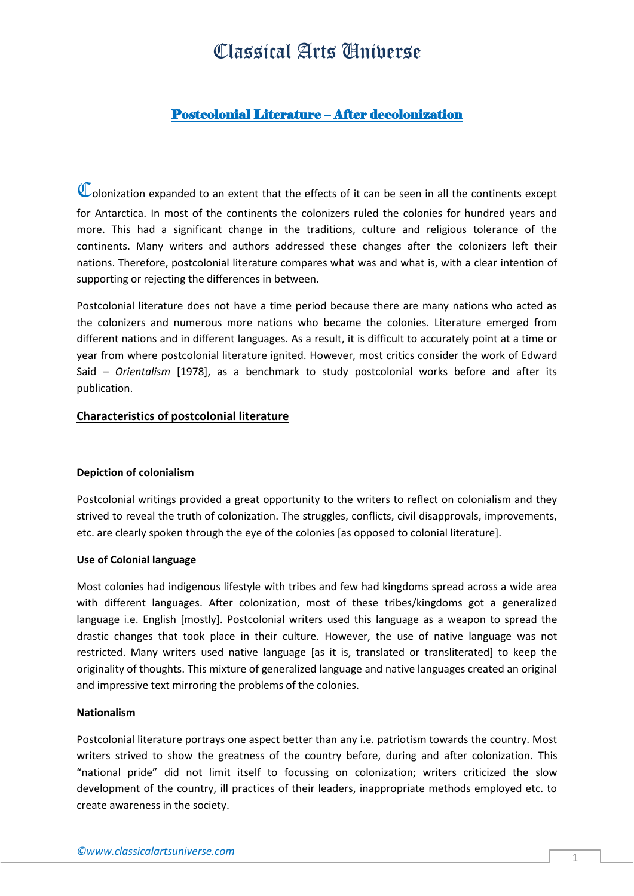## Classical Arts Universe

### Postcolonial Literature – After decolonization

Colonization expanded to an extent that the effects of it can be seen in all the continents except for Antarctica. In most of the continents the colonizers ruled the colonies for hundred years and more. This had a significant change in the traditions, culture and religious tolerance of the continents. Many writers and authors addressed these changes after the colonizers left their nations. Therefore, postcolonial literature compares what was and what is, with a clear intention of supporting or rejecting the differences in between.

Postcolonial literature does not have a time period because there are many nations who acted as the colonizers and numerous more nations who became the colonies. Literature emerged from different nations and in different languages. As a result, it is difficult to accurately point at a time or year from where postcolonial literature ignited. However, most critics consider the work of Edward Said – *Orientalism* [1978], as a benchmark to study postcolonial works before and after its publication.

#### **Characteristics of postcolonial literature**

#### **Depiction of colonialism**

Postcolonial writings provided a great opportunity to the writers to reflect on colonialism and they strived to reveal the truth of colonization. The struggles, conflicts, civil disapprovals, improvements, etc. are clearly spoken through the eye of the colonies [as opposed to colonial literature].

#### **Use of Colonial language**

Most colonies had indigenous lifestyle with tribes and few had kingdoms spread across a wide area with different languages. After colonization, most of these tribes/kingdoms got a generalized language i.e. English [mostly]. Postcolonial writers used this language as a weapon to spread the drastic changes that took place in their culture. However, the use of native language was not restricted. Many writers used native language [as it is, translated or transliterated] to keep the originality of thoughts. This mixture of generalized language and native languages created an original and impressive text mirroring the problems of the colonies.

#### **Nationalism**

Postcolonial literature portrays one aspect better than any i.e. patriotism towards the country. Most writers strived to show the greatness of the country before, during and after colonization. This "national pride" did not limit itself to focussing on colonization; writers criticized the slow development of the country, ill practices of their leaders, inappropriate methods employed etc. to create awareness in the society.